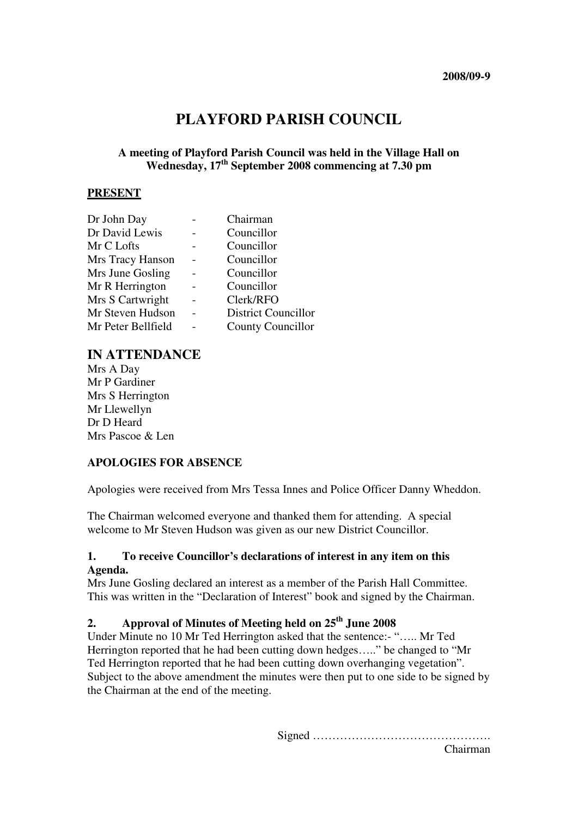# **PLAYFORD PARISH COUNCIL**

## **A meeting of Playford Parish Council was held in the Village Hall on Wednesday, 17th September 2008 commencing at 7.30 pm**

#### **PRESENT**

| Dr John Day        | Chairman                   |
|--------------------|----------------------------|
| Dr David Lewis     | Councillor                 |
| Mr C Lofts         | Councillor                 |
| Mrs Tracy Hanson   | Councillor                 |
| Mrs June Gosling   | Councillor                 |
| Mr R Herrington    | Councillor                 |
| Mrs S Cartwright   | Clerk/RFO                  |
| Mr Steven Hudson   | <b>District Councillor</b> |
| Mr Peter Bellfield | <b>County Councillor</b>   |

# **IN ATTENDANCE**

Mrs A Day Mr P Gardiner Mrs S Herrington Mr Llewellyn Dr D Heard Mrs Pascoe & Len

### **APOLOGIES FOR ABSENCE**

Apologies were received from Mrs Tessa Innes and Police Officer Danny Wheddon.

The Chairman welcomed everyone and thanked them for attending. A special welcome to Mr Steven Hudson was given as our new District Councillor.

#### **1. To receive Councillor's declarations of interest in any item on this Agenda.**

Mrs June Gosling declared an interest as a member of the Parish Hall Committee. This was written in the "Declaration of Interest" book and signed by the Chairman.

# **2. Approval of Minutes of Meeting held on 25th June 2008**

Under Minute no 10 Mr Ted Herrington asked that the sentence:- "….. Mr Ted Herrington reported that he had been cutting down hedges….." be changed to "Mr Ted Herrington reported that he had been cutting down overhanging vegetation". Subject to the above amendment the minutes were then put to one side to be signed by the Chairman at the end of the meeting.

Signed ……………………………………….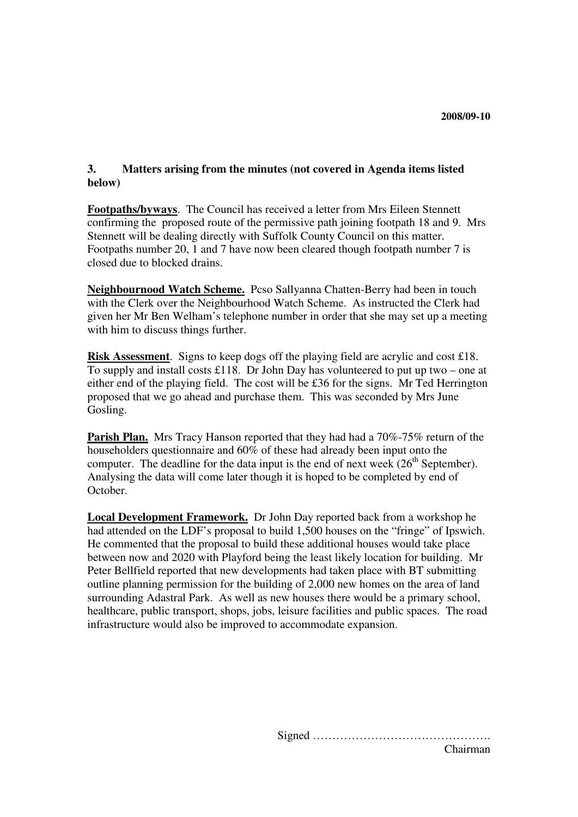### **3. Matters arising from the minutes (not covered in Agenda items listed below)**

**Footpaths/byways**. The Council has received a letter from Mrs Eileen Stennett confirming the proposed route of the permissive path joining footpath 18 and 9. Mrs Stennett will be dealing directly with Suffolk County Council on this matter. Footpaths number 20, 1 and 7 have now been cleared though footpath number 7 is closed due to blocked drains.

**Neighbournood Watch Scheme.** Pcso Sallyanna Chatten-Berry had been in touch with the Clerk over the Neighbourhood Watch Scheme. As instructed the Clerk had given her Mr Ben Welham's telephone number in order that she may set up a meeting with him to discuss things further.

**Risk Assessment**. Signs to keep dogs off the playing field are acrylic and cost £18. To supply and install costs £118. Dr John Day has volunteered to put up two – one at either end of the playing field. The cost will be £36 for the signs. Mr Ted Herrington proposed that we go ahead and purchase them. This was seconded by Mrs June Gosling.

**Parish Plan.** Mrs Tracy Hanson reported that they had had a 70%-75% return of the householders questionnaire and 60% of these had already been input onto the computer. The deadline for the data input is the end of next week  $(26<sup>th</sup> September)$ . Analysing the data will come later though it is hoped to be completed by end of October.

**Local Development Framework.** Dr John Day reported back from a workshop he had attended on the LDF's proposal to build 1,500 houses on the "fringe" of Ipswich. He commented that the proposal to build these additional houses would take place between now and 2020 with Playford being the least likely location for building. Mr Peter Bellfield reported that new developments had taken place with BT submitting outline planning permission for the building of 2,000 new homes on the area of land surrounding Adastral Park. As well as new houses there would be a primary school, healthcare, public transport, shops, jobs, leisure facilities and public spaces. The road infrastructure would also be improved to accommodate expansion.

> Signed ………………………………………. Chairman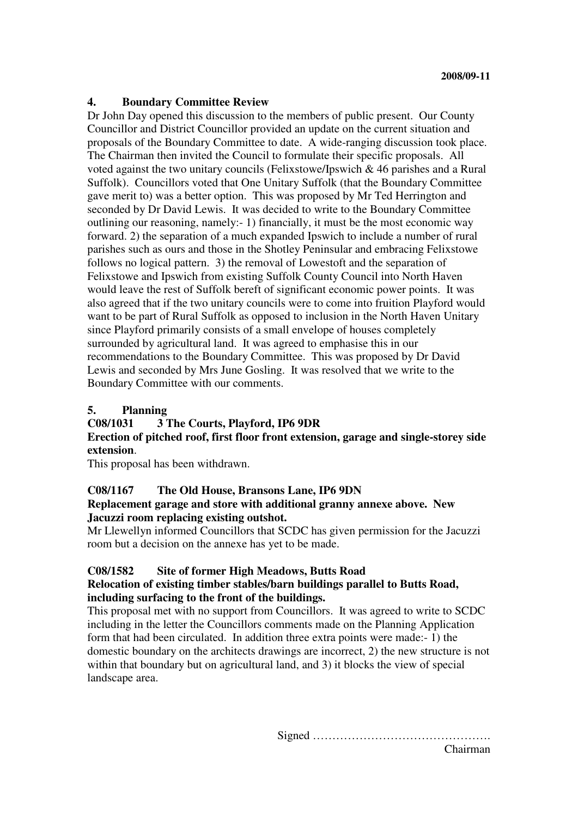## **4. Boundary Committee Review**

Dr John Day opened this discussion to the members of public present. Our County Councillor and District Councillor provided an update on the current situation and proposals of the Boundary Committee to date. A wide-ranging discussion took place. The Chairman then invited the Council to formulate their specific proposals. All voted against the two unitary councils (Felixstowe/Ipswich & 46 parishes and a Rural Suffolk). Councillors voted that One Unitary Suffolk (that the Boundary Committee gave merit to) was a better option. This was proposed by Mr Ted Herrington and seconded by Dr David Lewis. It was decided to write to the Boundary Committee outlining our reasoning, namely:- 1) financially, it must be the most economic way forward. 2) the separation of a much expanded Ipswich to include a number of rural parishes such as ours and those in the Shotley Peninsular and embracing Felixstowe follows no logical pattern. 3) the removal of Lowestoft and the separation of Felixstowe and Ipswich from existing Suffolk County Council into North Haven would leave the rest of Suffolk bereft of significant economic power points. It was also agreed that if the two unitary councils were to come into fruition Playford would want to be part of Rural Suffolk as opposed to inclusion in the North Haven Unitary since Playford primarily consists of a small envelope of houses completely surrounded by agricultural land. It was agreed to emphasise this in our recommendations to the Boundary Committee. This was proposed by Dr David Lewis and seconded by Mrs June Gosling. It was resolved that we write to the Boundary Committee with our comments.

#### **5. Planning**

### **C08/1031 3 The Courts, Playford, IP6 9DR**

**Erection of pitched roof, first floor front extension, garage and single-storey side extension**.

This proposal has been withdrawn.

### **C08/1167 The Old House, Bransons Lane, IP6 9DN**

#### **Replacement garage and store with additional granny annexe above. New Jacuzzi room replacing existing outshot.**

Mr Llewellyn informed Councillors that SCDC has given permission for the Jacuzzi room but a decision on the annexe has yet to be made.

### **C08/1582 Site of former High Meadows, Butts Road**

### **Relocation of existing timber stables/barn buildings parallel to Butts Road, including surfacing to the front of the buildings.**

This proposal met with no support from Councillors. It was agreed to write to SCDC including in the letter the Councillors comments made on the Planning Application form that had been circulated. In addition three extra points were made:- 1) the domestic boundary on the architects drawings are incorrect, 2) the new structure is not within that boundary but on agricultural land, and 3) it blocks the view of special landscape area.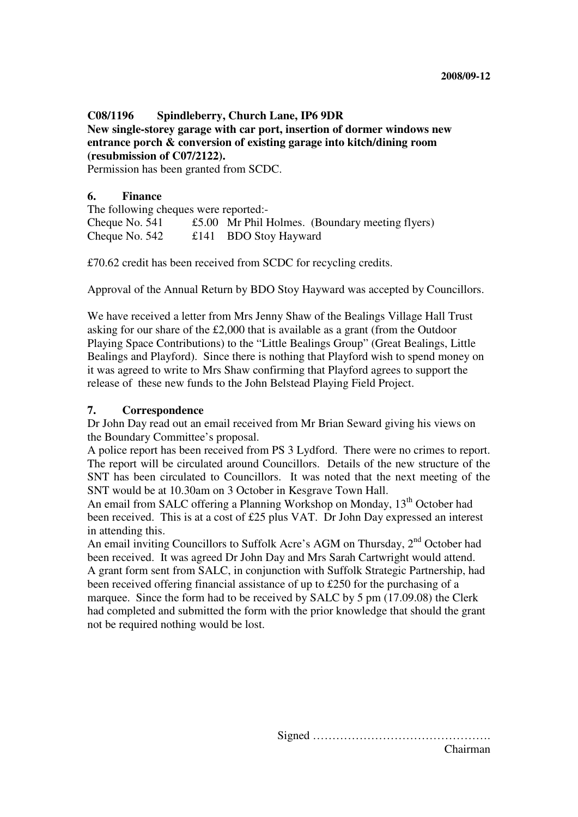# **C08/1196 Spindleberry, Church Lane, IP6 9DR New single-storey garage with car port, insertion of dormer windows new entrance porch & conversion of existing garage into kitch/dining room (resubmission of C07/2122).**

Permission has been granted from SCDC.

#### **6. Finance**

The following cheques were reported:- Cheque No. 541 £5.00 Mr Phil Holmes. (Boundary meeting flyers) Cheque No. 542 £141 BDO Stoy Hayward

£70.62 credit has been received from SCDC for recycling credits.

Approval of the Annual Return by BDO Stoy Hayward was accepted by Councillors.

We have received a letter from Mrs Jenny Shaw of the Bealings Village Hall Trust asking for our share of the £2,000 that is available as a grant (from the Outdoor Playing Space Contributions) to the "Little Bealings Group" (Great Bealings, Little Bealings and Playford). Since there is nothing that Playford wish to spend money on it was agreed to write to Mrs Shaw confirming that Playford agrees to support the release of these new funds to the John Belstead Playing Field Project.

#### **7. Correspondence**

Dr John Day read out an email received from Mr Brian Seward giving his views on the Boundary Committee's proposal.

A police report has been received from PS 3 Lydford. There were no crimes to report. The report will be circulated around Councillors. Details of the new structure of the SNT has been circulated to Councillors. It was noted that the next meeting of the SNT would be at 10.30am on 3 October in Kesgrave Town Hall.

An email from SALC offering a Planning Workshop on Monday, 13<sup>th</sup> October had been received. This is at a cost of £25 plus VAT. Dr John Day expressed an interest in attending this.

An email inviting Councillors to Suffolk Acre's AGM on Thursday,  $2<sup>nd</sup>$  October had been received. It was agreed Dr John Day and Mrs Sarah Cartwright would attend. A grant form sent from SALC, in conjunction with Suffolk Strategic Partnership, had been received offering financial assistance of up to £250 for the purchasing of a marquee. Since the form had to be received by SALC by 5 pm (17.09.08) the Clerk had completed and submitted the form with the prior knowledge that should the grant not be required nothing would be lost.

> Signed ………………………………………. Chairman